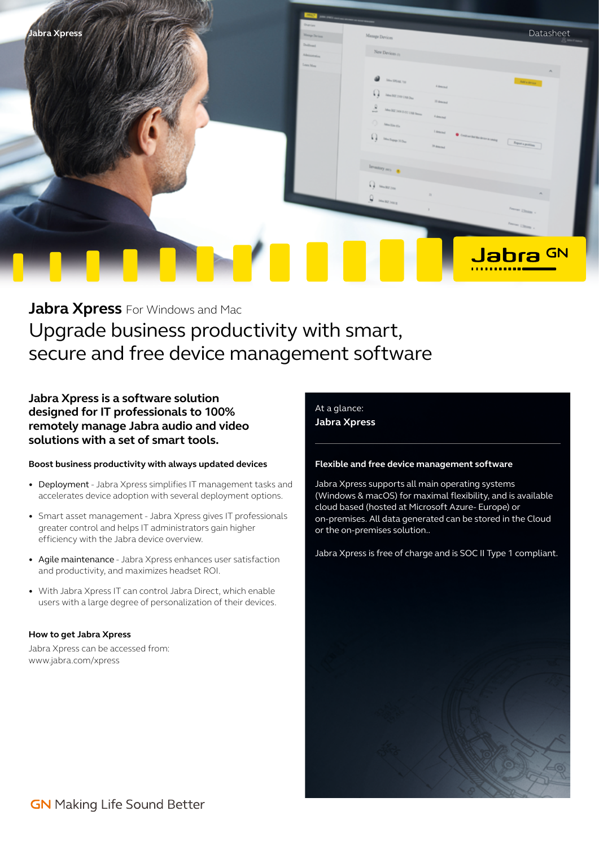

**Jabra Xpress** For Windows and Mac Upgrade business productivity with smart, secure and free device management software

**Jabra Xpress is a software solution designed for IT professionals to 100% remotely manage Jabra audio and video solutions with a set of smart tools.**

## **Boost business productivity with always updated devices**

- Deployment Jabra Xpress simplifies IT management tasks and accelerates device adoption with several deployment options.
- Smart asset management Jabra Xpress gives IT professionals greater control and helps IT administrators gain higher efficiency with the Jabra device overview.
- Agile maintenance Jabra Xpress enhances user satisfaction and productivity, and maximizes headset ROI.
- With Jabra Xpress IT can control Jabra Direct, which enable users with a large degree of personalization of their devices.

#### **How to get Jabra Xpress**

Jabra Xpress can be accessed from: www.jabra.com/xpress

# At a glance:

**Jabra Xpress** 

# **Flexible and free device management software**

Jabra Xpress supports all main operating systems (Windows & macOS) for maximal flexibility, and is available cloud based (hosted at Microsoft Azure- Europe) or on-premises. All data generated can be stored in the Cloud or the on-premises solution..

Jabra Xpress is free of charge and is SOC II Type 1 compliant.